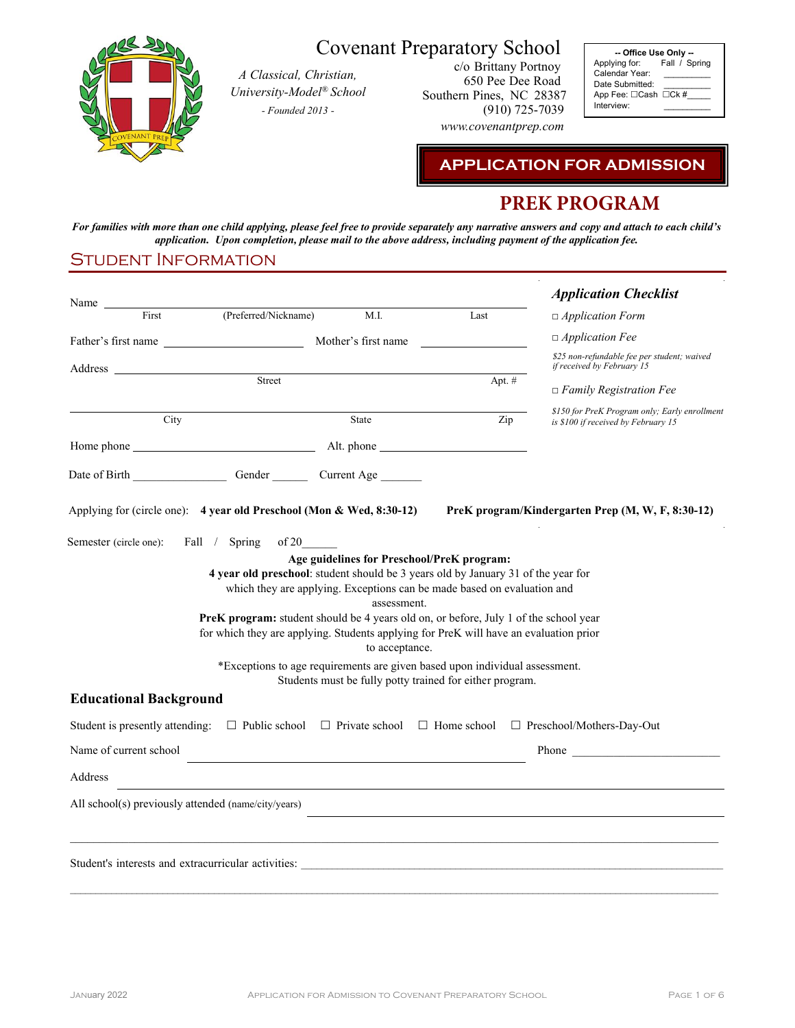

# Covenant Preparatory School

*A Classical, Christian, University-Model® School - Founded 2013 -*

c/o Brittany Portnoy 650 Pee Dee Road Southern Pines, NC 28387 (910) 725-7039

*www.covenantprep.com*

**-- Office Use Only --** Applying for: Fall / Spring Applying for:<br>Calendar Year: Date Submitted: App Fee:  $\Box$ Cash  $\Box$ Ck #\_ Interview:

**APPLICATION FOR ADMISSION**

# **PREK PROGRAM**

For families with more than one child applying, please feel free to provide separately any narrative answers and copy and attach to each child's *application. Upon completion, please mail to the above address, including payment of the application fee.*

#### Student Information

| Name                                                                                                                                                                                                                           |                                                                                                                                                                                                                                                                    |                               |                                                                                                                       | <b>Application Checklist</b>                                                                                                               |
|--------------------------------------------------------------------------------------------------------------------------------------------------------------------------------------------------------------------------------|--------------------------------------------------------------------------------------------------------------------------------------------------------------------------------------------------------------------------------------------------------------------|-------------------------------|-----------------------------------------------------------------------------------------------------------------------|--------------------------------------------------------------------------------------------------------------------------------------------|
| First                                                                                                                                                                                                                          | (Preferred/Nickname)                                                                                                                                                                                                                                               | M.I.                          | Last                                                                                                                  | $\Box$ Application Form                                                                                                                    |
|                                                                                                                                                                                                                                |                                                                                                                                                                                                                                                                    |                               |                                                                                                                       | $\Box$ Application Fee                                                                                                                     |
| Address and the state of the state of the state of the state of the state of the state of the state of the state of the state of the state of the state of the state of the state of the state of the state of the state of th |                                                                                                                                                                                                                                                                    |                               |                                                                                                                       | \$25 non-refundable fee per student; waived<br>if received by February 15                                                                  |
|                                                                                                                                                                                                                                | Street                                                                                                                                                                                                                                                             |                               | Apt. $#$                                                                                                              | $\Box$ Family Registration Fee                                                                                                             |
|                                                                                                                                                                                                                                |                                                                                                                                                                                                                                                                    |                               |                                                                                                                       | \$150 for PreK Program only; Early enrollment                                                                                              |
| City                                                                                                                                                                                                                           |                                                                                                                                                                                                                                                                    | State                         |                                                                                                                       | Zip<br>is \$100 if received by February 15                                                                                                 |
|                                                                                                                                                                                                                                |                                                                                                                                                                                                                                                                    |                               |                                                                                                                       |                                                                                                                                            |
|                                                                                                                                                                                                                                |                                                                                                                                                                                                                                                                    |                               |                                                                                                                       |                                                                                                                                            |
| Applying for (circle one): 4 year old Preschool (Mon & Wed, 8:30-12)                                                                                                                                                           |                                                                                                                                                                                                                                                                    |                               |                                                                                                                       | PreK program/Kindergarten Prep (M, W, F, 8:30-12)                                                                                          |
|                                                                                                                                                                                                                                | 4 year old preschool: student should be 3 years old by January 31 of the year for<br>PreK program: student should be 4 years old on, or before, July 1 of the school year<br>for which they are applying. Students applying for PreK will have an evaluation prior | assessment.<br>to acceptance. | Age guidelines for Preschool/PreK program:<br>which they are applying. Exceptions can be made based on evaluation and |                                                                                                                                            |
|                                                                                                                                                                                                                                | *Exceptions to age requirements are given based upon individual assessment.                                                                                                                                                                                        |                               | Students must be fully potty trained for either program.                                                              |                                                                                                                                            |
| <b>Educational Background</b>                                                                                                                                                                                                  |                                                                                                                                                                                                                                                                    |                               |                                                                                                                       |                                                                                                                                            |
|                                                                                                                                                                                                                                |                                                                                                                                                                                                                                                                    |                               |                                                                                                                       | Student is presently attending: $\square$ Public school $\square$ Private school $\square$ Home school $\square$ Preschool/Mothers-Day-Out |
| Name of current school                                                                                                                                                                                                         |                                                                                                                                                                                                                                                                    |                               |                                                                                                                       | Phone <b>Proprietion</b>                                                                                                                   |
| Address                                                                                                                                                                                                                        |                                                                                                                                                                                                                                                                    |                               |                                                                                                                       |                                                                                                                                            |
| All school(s) previously attended (name/city/years)                                                                                                                                                                            |                                                                                                                                                                                                                                                                    |                               |                                                                                                                       |                                                                                                                                            |
|                                                                                                                                                                                                                                |                                                                                                                                                                                                                                                                    |                               |                                                                                                                       |                                                                                                                                            |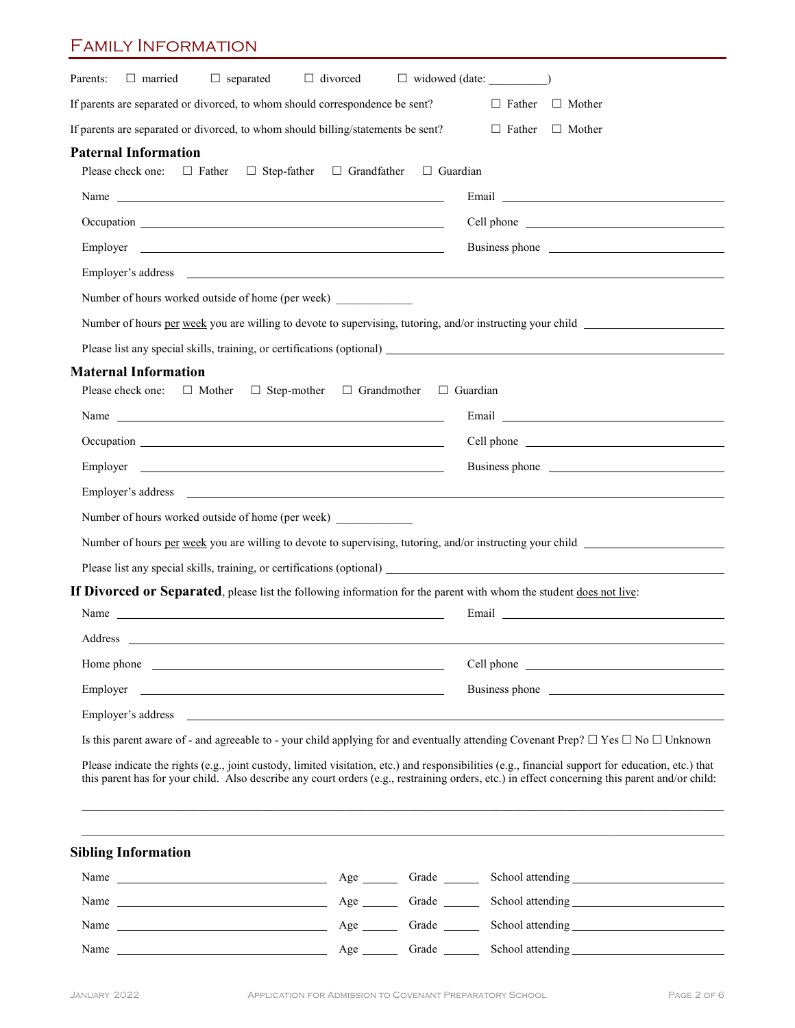### Family Information

| $\Box$ divorced<br>Parents:<br>$\Box$ married<br>$\Box$ separated                                                                                                                                                                   | $\Box$ widowed (date: $\Box$ )                                                                                                                                                                                                 |
|-------------------------------------------------------------------------------------------------------------------------------------------------------------------------------------------------------------------------------------|--------------------------------------------------------------------------------------------------------------------------------------------------------------------------------------------------------------------------------|
| If parents are separated or divorced, to whom should correspondence be sent?                                                                                                                                                        | $\Box$ Mother<br>$\Box$ Father                                                                                                                                                                                                 |
| If parents are separated or divorced, to whom should billing/statements be sent?                                                                                                                                                    | $\Box$ Father<br>$\Box$ Mother                                                                                                                                                                                                 |
| <b>Paternal Information</b>                                                                                                                                                                                                         |                                                                                                                                                                                                                                |
| Please check one:<br>$\Box$ Father<br>$\Box$ Step-father<br>$\Box$ Grandfather                                                                                                                                                      | $\Box$ Guardian                                                                                                                                                                                                                |
| Name Name and the second contract of the second contract of the second contract of the second contract of the second contract of the second contract of the second contract of the second contract of the second contract of t      |                                                                                                                                                                                                                                |
| Occupation experience and the contract of the contract of the contract of the contract of the contract of the contract of the contract of the contract of the contract of the contract of the contract of the contract of the       |                                                                                                                                                                                                                                |
|                                                                                                                                                                                                                                     | Business phone                                                                                                                                                                                                                 |
| Employer's address experience and the contract of the contract of the contract of the contract of the contract of the contract of the contract of the contract of the contract of the contract of the contract of the contract      |                                                                                                                                                                                                                                |
| Number of hours worked outside of home (per week)                                                                                                                                                                                   |                                                                                                                                                                                                                                |
| Number of hours per week you are willing to devote to supervising, tutoring, and/or instructing your child                                                                                                                          |                                                                                                                                                                                                                                |
|                                                                                                                                                                                                                                     |                                                                                                                                                                                                                                |
| <b>Maternal Information</b><br>Please check one:<br>$\Box$ Mother<br>$\Box$ Step-mother<br>□ Grandmother                                                                                                                            | $\Box$ Guardian                                                                                                                                                                                                                |
| Name Name and the second contract of the second contract of the second contract of the second contract of the second contract of the second contract of the second contract of the second contract of the second contract of t      | Email experience and the set of the set of the set of the set of the set of the set of the set of the set of the set of the set of the set of the set of the set of the set of the set of the set of the set of the set of the |
|                                                                                                                                                                                                                                     |                                                                                                                                                                                                                                |
| Employer<br><u> 1989 - Johann Barbara, martin amerikan basar dan berasal dan berasal dalam basar dalam basar dalam basar dala</u>                                                                                                   | Business phone                                                                                                                                                                                                                 |
| Employer's address experience of the state of the state of the state of the state of the state of the state of the state of the state of the state of the state of the state of the state of the state of the state of the sta      |                                                                                                                                                                                                                                |
| Number of hours worked outside of home (per week)                                                                                                                                                                                   |                                                                                                                                                                                                                                |
| Number of hours per week you are willing to devote to supervising, tutoring, and/or instructing your child                                                                                                                          |                                                                                                                                                                                                                                |
|                                                                                                                                                                                                                                     |                                                                                                                                                                                                                                |
| If Divorced or Separated, please list the following information for the parent with whom the student does not live:                                                                                                                 |                                                                                                                                                                                                                                |
| Name Name and the second contract of the second contract of the second contract of the second contract of the second contract of the second contract of the second contract of the second contract of the second contract of t      |                                                                                                                                                                                                                                |
| Address                                                                                                                                                                                                                             |                                                                                                                                                                                                                                |
| Home phone <u>that the same phone</u> and the same phone of the same phone of the same phone of the same phone of the same phone of the same phone of the same phone of the same phone of the same phone of the same phone of the s |                                                                                                                                                                                                                                |
| Employer                                                                                                                                                                                                                            | Business phone example and the same state of the state of the state of the state of the state of the state of the state of the state of the state of the state of the state of the state of the state of the state of the stat |
| Employer's address<br><u> 1989 - Johann Stoff, amerikansk politiker (d. 1989)</u>                                                                                                                                                   |                                                                                                                                                                                                                                |
| Is this parent aware of - and agreeable to - your child applying for and eventually attending Covenant Prep? $\Box$ Yes $\Box$ No $\Box$ Unknown                                                                                    |                                                                                                                                                                                                                                |
| Please indicate the rights (e.g., joint custody, limited visitation, etc.) and responsibilities (e.g., financial support for education, etc.) that                                                                                  |                                                                                                                                                                                                                                |
| this parent has for your child. Also describe any court orders (e.g., restraining orders, etc.) in effect concerning this parent and/or child:                                                                                      |                                                                                                                                                                                                                                |
|                                                                                                                                                                                                                                     |                                                                                                                                                                                                                                |
| <b>Sibling Information</b>                                                                                                                                                                                                          |                                                                                                                                                                                                                                |
|                                                                                                                                                                                                                                     |                                                                                                                                                                                                                                |
| Name $\frac{1}{\sqrt{1-\frac{1}{2}}\sqrt{1-\frac{1}{2}}\sqrt{1-\frac{1}{2}}\sqrt{1-\frac{1}{2}}}}$                                                                                                                                  | Age Grade School attending Channel Channel Channel Channel Channel Channel Channel Channel Channel Channel Channel Channel Channel Channel Channel Channel Channel Channel Channel Channel Channel Channel Channel Channel Cha |
| Age Grade<br>Name                                                                                                                                                                                                                   |                                                                                                                                                                                                                                |

Name Age Grade School attending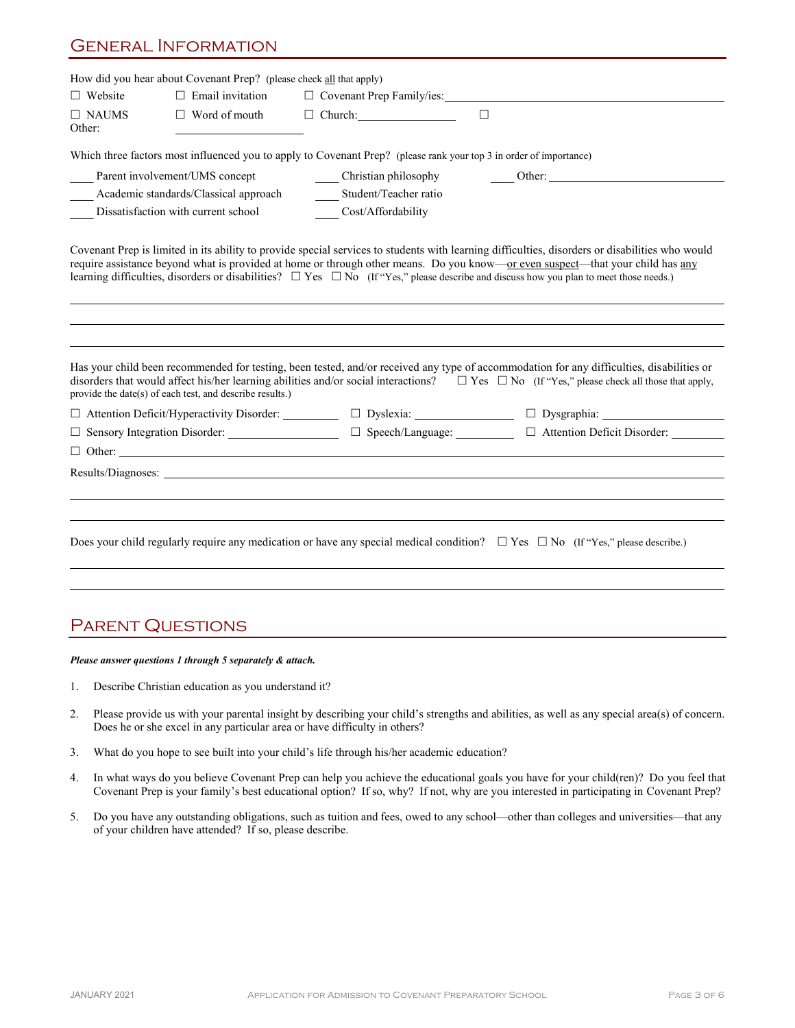### General Information

|                        | How did you hear about Covenant Prep? (please check all that apply) |                                                                                                                                                                                                                                |                                                                                                                                                                                                                                                                                                                                                                                                                                                                                                                                                                                         |  |  |  |  |  |
|------------------------|---------------------------------------------------------------------|--------------------------------------------------------------------------------------------------------------------------------------------------------------------------------------------------------------------------------|-----------------------------------------------------------------------------------------------------------------------------------------------------------------------------------------------------------------------------------------------------------------------------------------------------------------------------------------------------------------------------------------------------------------------------------------------------------------------------------------------------------------------------------------------------------------------------------------|--|--|--|--|--|
| $\Box$ Website         | $\Box$ Email invitation                                             | □ Covenant Prep Family/ies:                                                                                                                                                                                                    |                                                                                                                                                                                                                                                                                                                                                                                                                                                                                                                                                                                         |  |  |  |  |  |
| $\Box$ NAUMS<br>Other: | $\Box$ Word of mouth                                                | $\Box$ Church:<br>$\Box$                                                                                                                                                                                                       |                                                                                                                                                                                                                                                                                                                                                                                                                                                                                                                                                                                         |  |  |  |  |  |
|                        |                                                                     | Which three factors most influenced you to apply to Covenant Prep? (please rank your top 3 in order of importance)                                                                                                             |                                                                                                                                                                                                                                                                                                                                                                                                                                                                                                                                                                                         |  |  |  |  |  |
|                        | Parent involvement/UMS concept                                      | Christian philosophy                                                                                                                                                                                                           | Other:                                                                                                                                                                                                                                                                                                                                                                                                                                                                                                                                                                                  |  |  |  |  |  |
|                        | Academic standards/Classical approach                               | Student/Teacher ratio                                                                                                                                                                                                          |                                                                                                                                                                                                                                                                                                                                                                                                                                                                                                                                                                                         |  |  |  |  |  |
|                        | Dissatisfaction with current school                                 | Cost/Affordability                                                                                                                                                                                                             |                                                                                                                                                                                                                                                                                                                                                                                                                                                                                                                                                                                         |  |  |  |  |  |
|                        | provide the date(s) of each test, and describe results.)            | learning difficulties, disorders or disabilities? $\Box$ Yes $\Box$ No (If "Yes," please describe and discuss how you plan to meet those needs.)                                                                               | Covenant Prep is limited in its ability to provide special services to students with learning difficulties, disorders or disabilities who would<br>require assistance beyond what is provided at home or through other means. Do you know—or even suspect—that your child has any<br>Has your child been recommended for testing, been tested, and/or received any type of accommodation for any difficulties, disabilities or<br>disorders that would affect his/her learning abilities and/or social interactions? $\Box$ Yes $\Box$ No (If "Yes," please check all those that apply, |  |  |  |  |  |
|                        |                                                                     |                                                                                                                                                                                                                                | $\Box$ Attention Deficit/Hyperactivity Disorder: $\Box$ Dyslexia: $\Box$ Dysgraphia:                                                                                                                                                                                                                                                                                                                                                                                                                                                                                                    |  |  |  |  |  |
|                        |                                                                     |                                                                                                                                                                                                                                | □ Sensory Integration Disorder:<br>□ Speech/Language:<br>□ Attention Deficit Disorder:<br>□ Attention Deficit Disorder:                                                                                                                                                                                                                                                                                                                                                                                                                                                                 |  |  |  |  |  |
|                        |                                                                     | $\Box$ Other:                                                                                                                                                                                                                  |                                                                                                                                                                                                                                                                                                                                                                                                                                                                                                                                                                                         |  |  |  |  |  |
|                        |                                                                     | Results/Diagnoses: New York 2014 19:30 and 2014 19:30 and 2014 19:30 and 20:30 and 20:30 and 20:30 and 20:30 and 20:30 and 20:30 and 20:30 and 20:30 and 20:30 and 20:30 and 20:30 and 20:30 and 20:30 and 20:30 and 20:30 and |                                                                                                                                                                                                                                                                                                                                                                                                                                                                                                                                                                                         |  |  |  |  |  |
|                        |                                                                     |                                                                                                                                                                                                                                |                                                                                                                                                                                                                                                                                                                                                                                                                                                                                                                                                                                         |  |  |  |  |  |
|                        |                                                                     |                                                                                                                                                                                                                                |                                                                                                                                                                                                                                                                                                                                                                                                                                                                                                                                                                                         |  |  |  |  |  |
|                        |                                                                     |                                                                                                                                                                                                                                | Does your child regularly require any medication or have any special medical condition? $\Box$ Yes $\Box$ No (If "Yes," please describe.)                                                                                                                                                                                                                                                                                                                                                                                                                                               |  |  |  |  |  |
|                        |                                                                     |                                                                                                                                                                                                                                |                                                                                                                                                                                                                                                                                                                                                                                                                                                                                                                                                                                         |  |  |  |  |  |

## PARENT QUESTIONS

#### *Please answer questions 1 through 5 separately & attach.*

- 1. Describe Christian education as you understand it?
- 2. Please provide us with your parental insight by describing your child's strengths and abilities, as well as any special area(s) of concern. Does he or she excel in any particular area or have difficulty in others?
- 3. What do you hope to see built into your child's life through his/her academic education?
- 4. In what ways do you believe Covenant Prep can help you achieve the educational goals you have for your child(ren)? Do you feel that Covenant Prep is your family's best educational option? If so, why? If not, why are you interested in participating in Covenant Prep?
- 5. Do you have any outstanding obligations, such as tuition and fees, owed to any school—other than colleges and universities—that any of your children have attended? If so, please describe.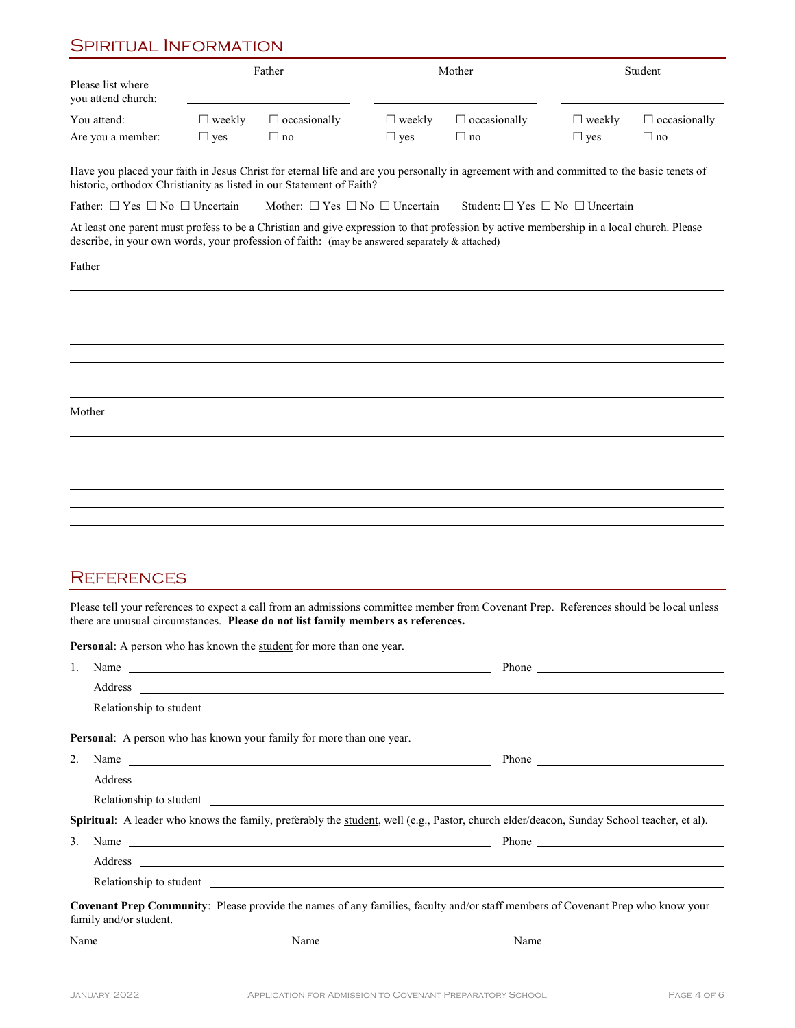## Spiritual Information

|                                                                                                                                                                                                                                            |               | Father                                                                                                                                                                                                                              |               | Mother                                         |               | Student             |
|--------------------------------------------------------------------------------------------------------------------------------------------------------------------------------------------------------------------------------------------|---------------|-------------------------------------------------------------------------------------------------------------------------------------------------------------------------------------------------------------------------------------|---------------|------------------------------------------------|---------------|---------------------|
| Please list where<br>you attend church:                                                                                                                                                                                                    |               |                                                                                                                                                                                                                                     |               |                                                |               |                     |
| You attend:                                                                                                                                                                                                                                | $\Box$ weekly | $\Box$ occasionally                                                                                                                                                                                                                 | $\Box$ weekly | $\Box$ occasionally                            | $\Box$ weekly | $\Box$ occasionally |
| Are you a member:                                                                                                                                                                                                                          | $\Box$ yes    | $\Box$ no                                                                                                                                                                                                                           | $\Box$ yes    | $\Box$ no                                      | $\Box$ yes    | $\Box$ no           |
| Have you placed your faith in Jesus Christ for eternal life and are you personally in agreement with and committed to the basic tenets of<br>historic, orthodox Christianity as listed in our Statement of Faith?                          |               |                                                                                                                                                                                                                                     |               |                                                |               |                     |
| Father: $\Box$ Yes $\Box$ No $\Box$ Uncertain                                                                                                                                                                                              |               | Mother: $\Box$ Yes $\Box$ No $\Box$ Uncertain                                                                                                                                                                                       |               | Student: $\Box$ Yes $\Box$ No $\Box$ Uncertain |               |                     |
| At least one parent must profess to be a Christian and give expression to that profession by active membership in a local church. Please<br>describe, in your own words, your profession of faith: (may be answered separately & attached) |               |                                                                                                                                                                                                                                     |               |                                                |               |                     |
| Father                                                                                                                                                                                                                                     |               |                                                                                                                                                                                                                                     |               |                                                |               |                     |
|                                                                                                                                                                                                                                            |               |                                                                                                                                                                                                                                     |               |                                                |               |                     |
|                                                                                                                                                                                                                                            |               |                                                                                                                                                                                                                                     |               |                                                |               |                     |
|                                                                                                                                                                                                                                            |               |                                                                                                                                                                                                                                     |               |                                                |               |                     |
|                                                                                                                                                                                                                                            |               |                                                                                                                                                                                                                                     |               |                                                |               |                     |
|                                                                                                                                                                                                                                            |               |                                                                                                                                                                                                                                     |               |                                                |               |                     |
| Mother                                                                                                                                                                                                                                     |               |                                                                                                                                                                                                                                     |               |                                                |               |                     |
|                                                                                                                                                                                                                                            |               |                                                                                                                                                                                                                                     |               |                                                |               |                     |
|                                                                                                                                                                                                                                            |               |                                                                                                                                                                                                                                     |               |                                                |               |                     |
|                                                                                                                                                                                                                                            |               |                                                                                                                                                                                                                                     |               |                                                |               |                     |
|                                                                                                                                                                                                                                            |               |                                                                                                                                                                                                                                     |               |                                                |               |                     |
|                                                                                                                                                                                                                                            |               |                                                                                                                                                                                                                                     |               |                                                |               |                     |
|                                                                                                                                                                                                                                            |               |                                                                                                                                                                                                                                     |               |                                                |               |                     |
|                                                                                                                                                                                                                                            |               |                                                                                                                                                                                                                                     |               |                                                |               |                     |
| <b>REFERENCES</b>                                                                                                                                                                                                                          |               |                                                                                                                                                                                                                                     |               |                                                |               |                     |
| Please tell your references to expect a call from an admissions committee member from Covenant Prep. References should be local unless<br>there are unusual circumstances. Please do not list family members as references.                |               |                                                                                                                                                                                                                                     |               |                                                |               |                     |
| <b>Personal:</b> A person who has known the student for more than one year.                                                                                                                                                                |               |                                                                                                                                                                                                                                     |               |                                                |               |                     |
| 1.                                                                                                                                                                                                                                         |               | Name                                                                                                                                                                                                                                |               |                                                |               | <b>Phone</b>        |
|                                                                                                                                                                                                                                            |               | Address and the contract of the contract of the contract of the contract of the contract of the contract of the contract of the contract of the contract of the contract of the contract of the contract of the contract of th      |               |                                                |               |                     |
|                                                                                                                                                                                                                                            |               | Relationship to student <u>contract the contract of the students</u> and the students of the students of the students of the students of the students of the students of the students of the students of the students of the studen |               |                                                |               |                     |
| Personal: A person who has known your family for more than one year.                                                                                                                                                                       |               |                                                                                                                                                                                                                                     |               |                                                |               |                     |
| 2.                                                                                                                                                                                                                                         |               | Name                                                                                                                                                                                                                                |               |                                                |               |                     |
|                                                                                                                                                                                                                                            |               |                                                                                                                                                                                                                                     |               |                                                |               |                     |

Relationship to student

**Spiritual**: A leader who knows the family, preferably the student, well (e.g., Pastor, church elder/deacon, Sunday School teacher, et al).

|                                                                                                                          | Name $\overline{\phantom{a}}$                                                                                                                                                                                                       |                                                                                                                                |  |
|--------------------------------------------------------------------------------------------------------------------------|-------------------------------------------------------------------------------------------------------------------------------------------------------------------------------------------------------------------------------------|--------------------------------------------------------------------------------------------------------------------------------|--|
|                                                                                                                          |                                                                                                                                                                                                                                     |                                                                                                                                |  |
|                                                                                                                          | Relationship to student <u>contract the contract of the students</u> and the students of the students of the students of the students of the students of the students of the students of the students of the students of the studen |                                                                                                                                |  |
| family and/or student.                                                                                                   |                                                                                                                                                                                                                                     | Covenant Prep Community: Please provide the names of any families, faculty and/or staff members of Covenant Prep who know your |  |
| Name<br><u> The Communication of the Communication of the Communication of the Communication of the Communication of</u> | Name                                                                                                                                                                                                                                | Name                                                                                                                           |  |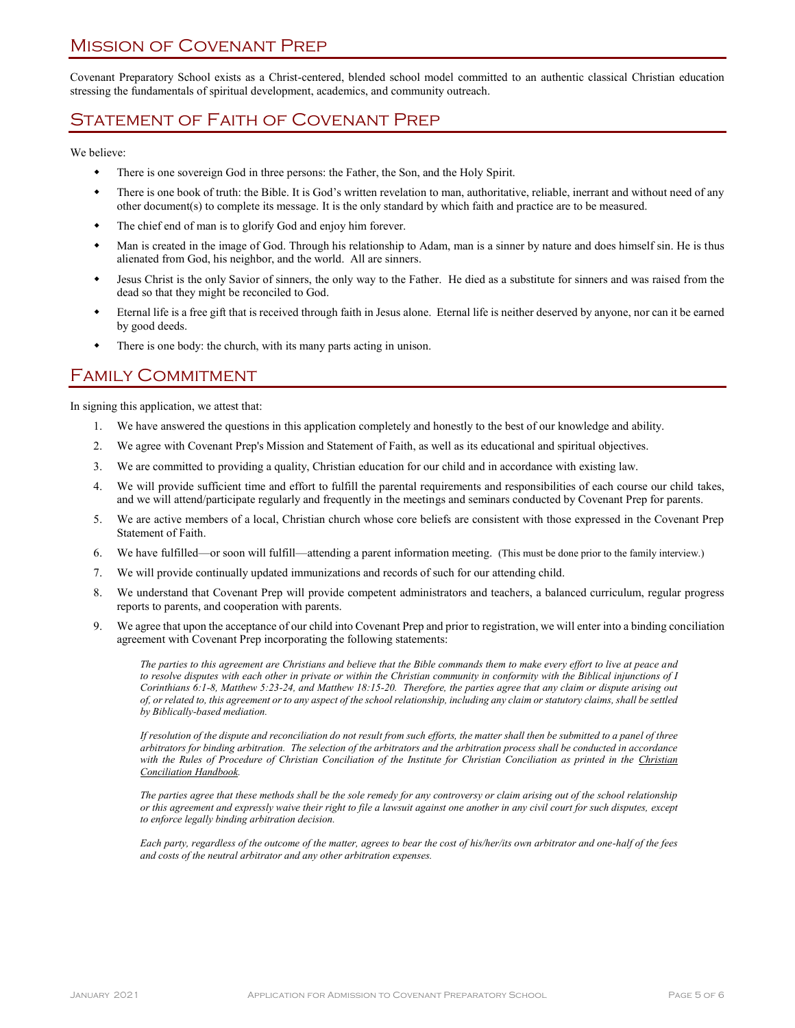Covenant Preparatory School exists as a Christ-centered, blended school model committed to an authentic classical Christian education stressing the fundamentals of spiritual development, academics, and community outreach.

## Statement of Faith of Covenant Prep

We believe:

- There is one sovereign God in three persons: the Father, the Son, and the Holy Spirit.
- There is one book of truth: the Bible. It is God's written revelation to man, authoritative, reliable, inerrant and without need of any other document(s) to complete its message. It is the only standard by which faith and practice are to be measured.
- The chief end of man is to glorify God and enjoy him forever.
- Man is created in the image of God. Through his relationship to Adam, man is a sinner by nature and does himself sin. He is thus alienated from God, his neighbor, and the world. All are sinners.
- Jesus Christ is the only Savior of sinners, the only way to the Father. He died as a substitute for sinners and was raised from the dead so that they might be reconciled to God.
- Eternal life is a free gift that is received through faith in Jesus alone. Eternal life is neither deserved by anyone, nor can it be earned by good deeds.
- There is one body: the church, with its many parts acting in unison.

### Family Commitment

In signing this application, we attest that:

- 1. We have answered the questions in this application completely and honestly to the best of our knowledge and ability.
- 2. We agree with Covenant Prep's Mission and Statement of Faith, as well as its educational and spiritual objectives.
- 3. We are committed to providing a quality, Christian education for our child and in accordance with existing law.
- 4. We will provide sufficient time and effort to fulfill the parental requirements and responsibilities of each course our child takes, and we will attend/participate regularly and frequently in the meetings and seminars conducted by Covenant Prep for parents.
- 5. We are active members of a local, Christian church whose core beliefs are consistent with those expressed in the Covenant Prep Statement of Faith.
- 6. We have fulfilled—or soon will fulfill—attending a parent information meeting. (This must be done prior to the family interview.)
- 7. We will provide continually updated immunizations and records of such for our attending child.
- 8. We understand that Covenant Prep will provide competent administrators and teachers, a balanced curriculum, regular progress reports to parents, and cooperation with parents.
- 9. We agree that upon the acceptance of our child into Covenant Prep and prior to registration, we will enter into a binding conciliation agreement with Covenant Prep incorporating the following statements:

*The parties to this agreement are Christians and believe that the Bible commands them to make every effort to live at peace and to resolve disputes with each other in private or within the Christian community in conformity with the Biblical injunctions of I Corinthians 6:1-8, Matthew 5:23-24, and Matthew 18:15-20. Therefore, the parties agree that any claim or dispute arising out of, or related to, this agreement or to any aspect of the school relationship, including any claim or statutory claims, shall be settled by Biblically-based mediation.*

*If resolution of the dispute and reconciliation do not result from such efforts, the matter shall then be submitted to a panel of three arbitrators for binding arbitration. The selection of the arbitrators and the arbitration process shall be conducted in accordance with the Rules of Procedure of Christian Conciliation of the Institute for Christian Conciliation as printed in the Christian Conciliation Handbook.* 

*The parties agree that these methods shall be the sole remedy for any controversy or claim arising out of the school relationship or this agreement and expressly waive their right to file a lawsuit against one another in any civil court for such disputes, except to enforce legally binding arbitration decision.* 

*Each party, regardless of the outcome of the matter, agrees to bear the cost of his/her/its own arbitrator and one-half of the fees and costs of the neutral arbitrator and any other arbitration expenses.*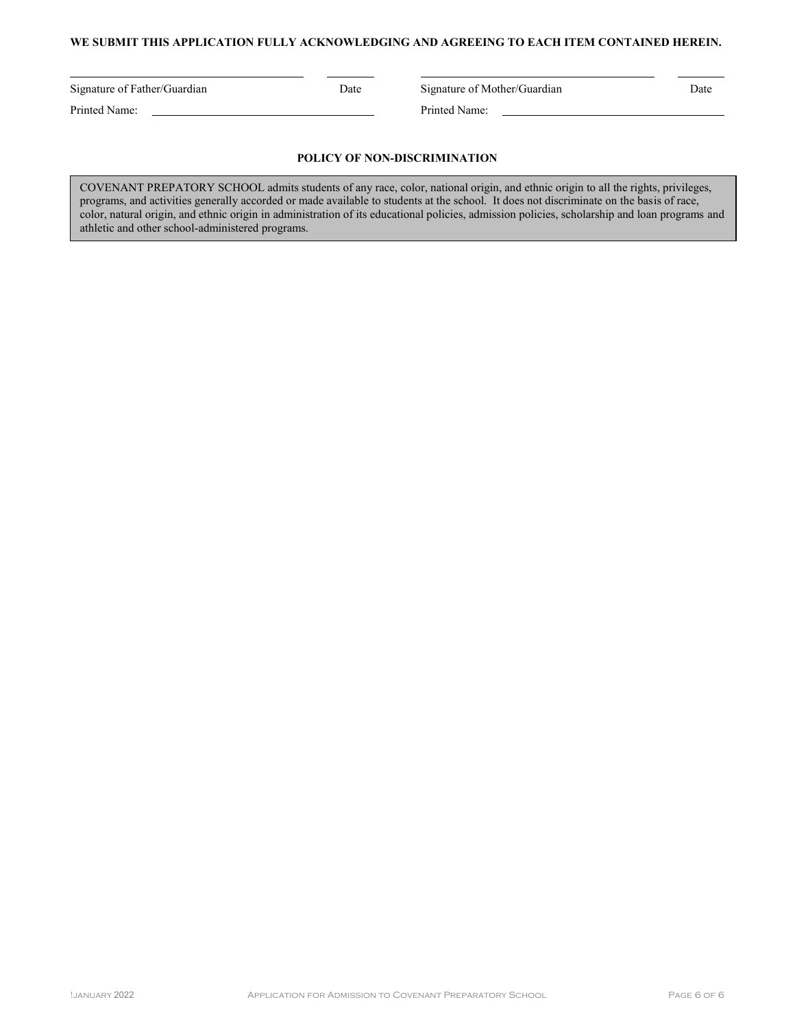#### **WE SUBMIT THIS APPLICATION FULLY ACKNOWLEDGING AND AGREEING TO EACH ITEM CONTAINED HEREIN.**

Printed Name: Printed Name:

Signature of Father/Guardian Date Signature of Mother/Guardian Date

#### **POLICY OF NON-DISCRIMINATION**

COVENANT PREPATORY SCHOOL admits students of any race, color, national origin, and ethnic origin to all the rights, privileges, programs, and activities generally accorded or made available to students at the school. It does not discriminate on the basis of race, color, natural origin, and ethnic origin in administration of its educational policies, admission policies, scholarship and loan programs and athletic and other school-administered programs.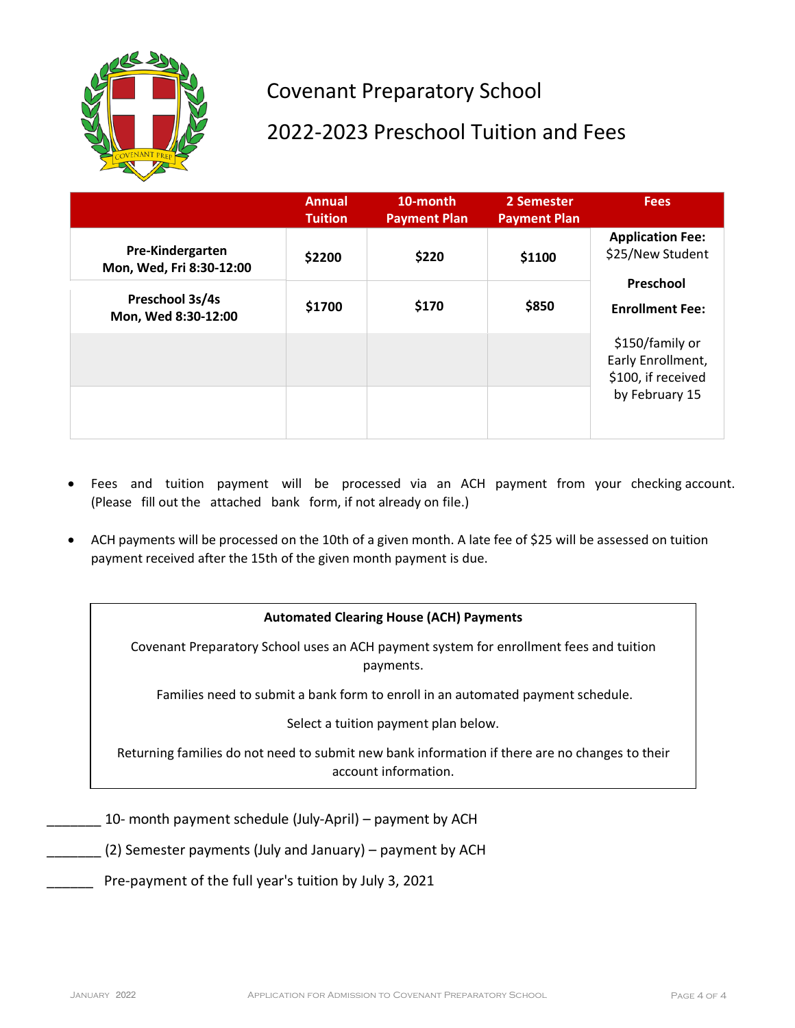

# Covenant Preparatory School

# 2022-2023 Preschool Tuition and Fees

|                                              | <b>Annual</b><br><b>Tuition</b> | 10-month<br><b>Payment Plan</b> | 2 Semester<br><b>Payment Plan</b> | <b>Fees</b>                                                                        |  |
|----------------------------------------------|---------------------------------|---------------------------------|-----------------------------------|------------------------------------------------------------------------------------|--|
| Pre-Kindergarten<br>Mon, Wed, Fri 8:30-12:00 | \$2200                          | \$220                           | \$1100                            | <b>Application Fee:</b><br>\$25/New Student<br>Preschool<br><b>Enrollment Fee:</b> |  |
| Preschool 3s/4s<br>Mon, Wed 8:30-12:00       | \$1700                          | \$170                           | \$850                             |                                                                                    |  |
|                                              |                                 |                                 |                                   | \$150/family or<br>Early Enrollment,<br>\$100, if received                         |  |
|                                              |                                 |                                 |                                   | by February 15                                                                     |  |

- Fees and tuition payment will be processed via an ACH payment from your checking account. (Please fill out the attached bank form, if not already on file.)
- ACH payments will be processed on the 10th of a given month. A late fee of \$25 will be assessed on tuition payment received after the 15th of the given month payment is due.

#### **Automated Clearing House (ACH) Payments**

Covenant Preparatory School uses an ACH payment system for enrollment fees and tuition payments.

Families need to submit a bank form to enroll in an automated payment schedule.

Select a tuition payment plan below.

Returning families do not need to submit new bank information if there are no changes to their account information.

- \_\_\_\_\_\_\_ 10- month payment schedule (July-April) payment by ACH
- (2) Semester payments (July and January) payment by ACH
- Pre-payment of the full year's tuition by July 3, 2021